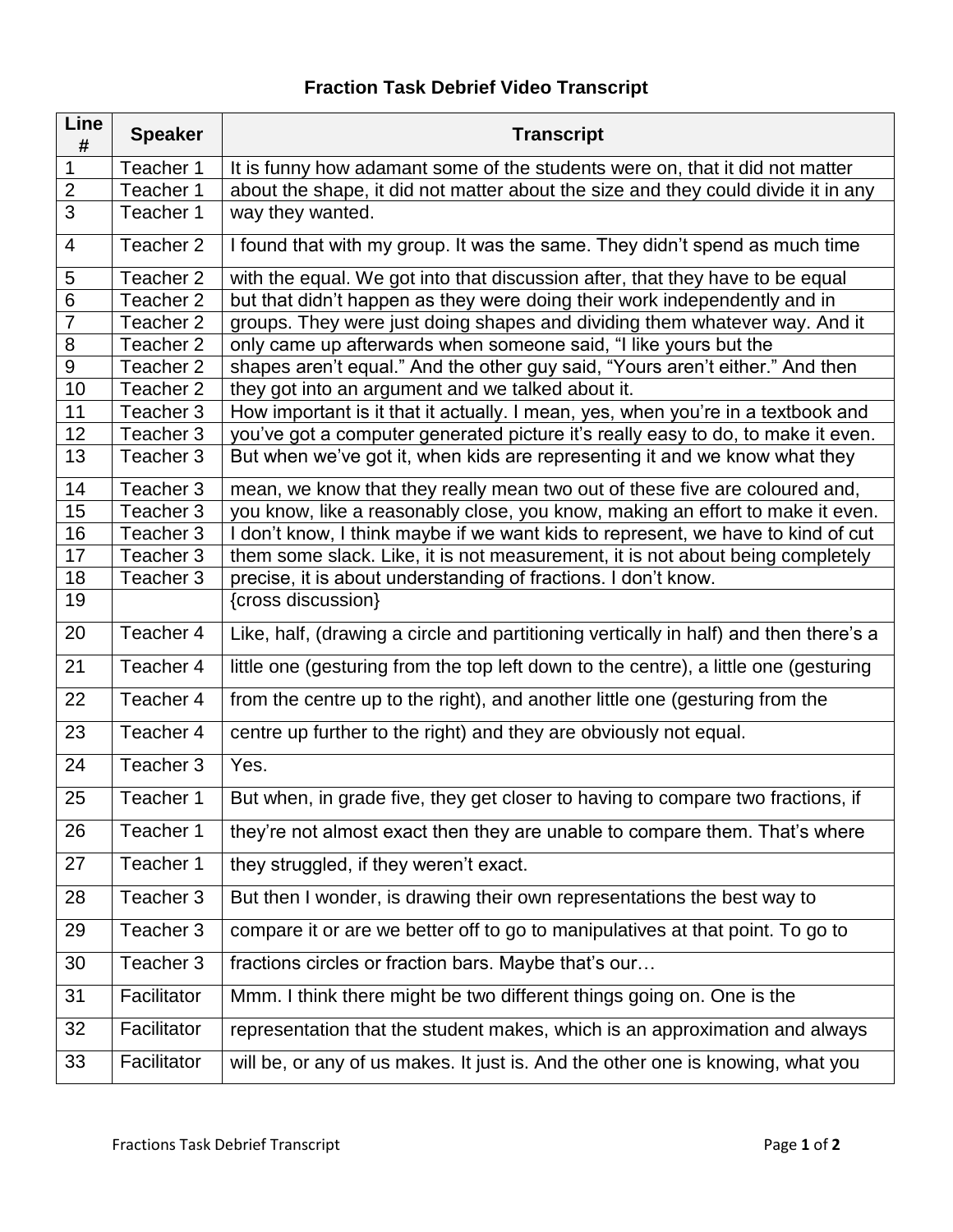## **Fraction Task Debrief Video Transcript**

| Line<br>#      | <b>Speaker</b>       | <b>Transcript</b>                                                                     |
|----------------|----------------------|---------------------------------------------------------------------------------------|
| 1              | Teacher 1            | It is funny how adamant some of the students were on, that it did not matter          |
| $\overline{2}$ | Teacher 1            | about the shape, it did not matter about the size and they could divide it in any     |
| $\overline{3}$ | Teacher 1            | way they wanted.                                                                      |
| $\overline{4}$ | Teacher 2            | I found that with my group. It was the same. They didn't spend as much time           |
| 5              | Teacher 2            | with the equal. We got into that discussion after, that they have to be equal         |
| $6\phantom{1}$ | Teacher 2            | but that didn't happen as they were doing their work independently and in             |
| $\overline{7}$ | Teacher 2            | groups. They were just doing shapes and dividing them whatever way. And it            |
| 8              | Teacher 2            | only came up afterwards when someone said, "I like yours but the                      |
| $\overline{9}$ | Teacher 2            | shapes aren't equal." And the other guy said, "Yours aren't either." And then         |
| 10             | Teacher 2            | they got into an argument and we talked about it.                                     |
| 11             | Teacher 3            | How important is it that it actually. I mean, yes, when you're in a textbook and      |
| 12             | Teacher 3            | you've got a computer generated picture it's really easy to do, to make it even.      |
| 13             | Teacher <sub>3</sub> | But when we've got it, when kids are representing it and we know what they            |
| 14             | Teacher <sub>3</sub> | mean, we know that they really mean two out of these five are coloured and,           |
| 15             | Teacher 3            | you know, like a reasonably close, you know, making an effort to make it even.        |
| 16             | Teacher 3            | I don't know, I think maybe if we want kids to represent, we have to kind of cut      |
| 17             | Teacher <sub>3</sub> | them some slack. Like, it is not measurement, it is not about being completely        |
| 18             | Teacher 3            | precise, it is about understanding of fractions. I don't know.                        |
| 19             |                      | {cross discussion}                                                                    |
| 20             | Teacher 4            | Like, half, (drawing a circle and partitioning vertically in half) and then there's a |
| 21             | Teacher 4            | little one (gesturing from the top left down to the centre), a little one (gesturing  |
| 22             | Teacher 4            | from the centre up to the right), and another little one (gesturing from the          |
| 23             | Teacher 4            | centre up further to the right) and they are obviously not equal.                     |
| 24             | Teacher 3            | Yes.                                                                                  |
| 25             | Teacher 1            | But when, in grade five, they get closer to having to compare two fractions, if       |
| 26             | Teacher 1            | they're not almost exact then they are unable to compare them. That's where           |
| 27             | Teacher 1            | they struggled, if they weren't exact.                                                |
| 28             | Teacher 3            | But then I wonder, is drawing their own representations the best way to               |
| 29             | Teacher 3            | compare it or are we better off to go to manipulatives at that point. To go to        |
| 30             | Teacher 3            | fractions circles or fraction bars. Maybe that's our                                  |
| 31             | Facilitator          | Mmm. I think there might be two different things going on. One is the                 |
| 32             | Facilitator          | representation that the student makes, which is an approximation and always           |
| 33             | Facilitator          | will be, or any of us makes. It just is. And the other one is knowing, what you       |